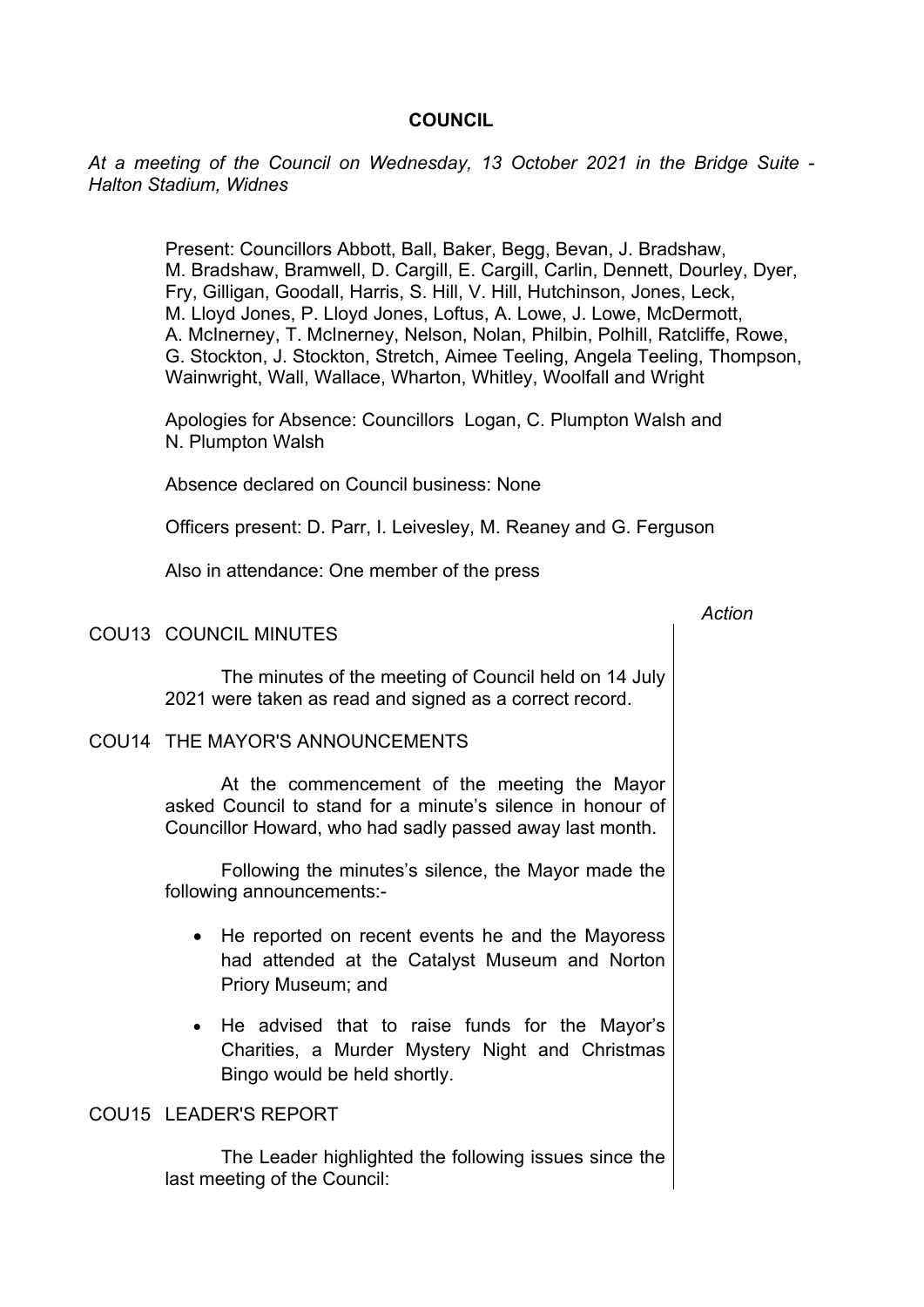## **COUNCIL**

*At a meeting of the Council on Wednesday, 13 October 2021 in the Bridge Suite - Halton Stadium, Widnes*

> Present: Councillors Abbott, Ball, Baker, Begg, Bevan, J. Bradshaw, M. Bradshaw, Bramwell, D. Cargill, E. Cargill, Carlin, Dennett, Dourley, Dyer, Fry, Gilligan, Goodall, Harris, S. Hill, V. Hill, Hutchinson, Jones, Leck, M. Lloyd Jones, P. Lloyd Jones, Loftus, A. Lowe, J. Lowe, McDermott, A. McInerney, T. McInerney, Nelson, Nolan, Philbin, Polhill, Ratcliffe, Rowe, G. Stockton, J. Stockton, Stretch, Aimee Teeling, Angela Teeling, Thompson, Wainwright, Wall, Wallace, Wharton, Whitley, Woolfall and Wright

Apologies for Absence: Councillors Logan, C. Plumpton Walsh and N. Plumpton Walsh

Absence declared on Council business: None

Officers present: D. Parr, I. Leivesley, M. Reaney and G. Ferguson

Also in attendance: One member of the press

#### COU13 COUNCIL MINUTES

The minutes of the meeting of Council held on 14 July 2021 were taken as read and signed as a correct record.

## COU14 THE MAYOR'S ANNOUNCEMENTS

At the commencement of the meeting the Mayor asked Council to stand for a minute's silence in honour of Councillor Howard, who had sadly passed away last month.

Following the minutes's silence, the Mayor made the following announcements:-

- He reported on recent events he and the Mayoress had attended at the Catalyst Museum and Norton Priory Museum; and
- He advised that to raise funds for the Mayor's Charities, a Murder Mystery Night and Christmas Bingo would be held shortly.

### COU15 LEADER'S REPORT

The Leader highlighted the following issues since the last meeting of the Council:

*Action*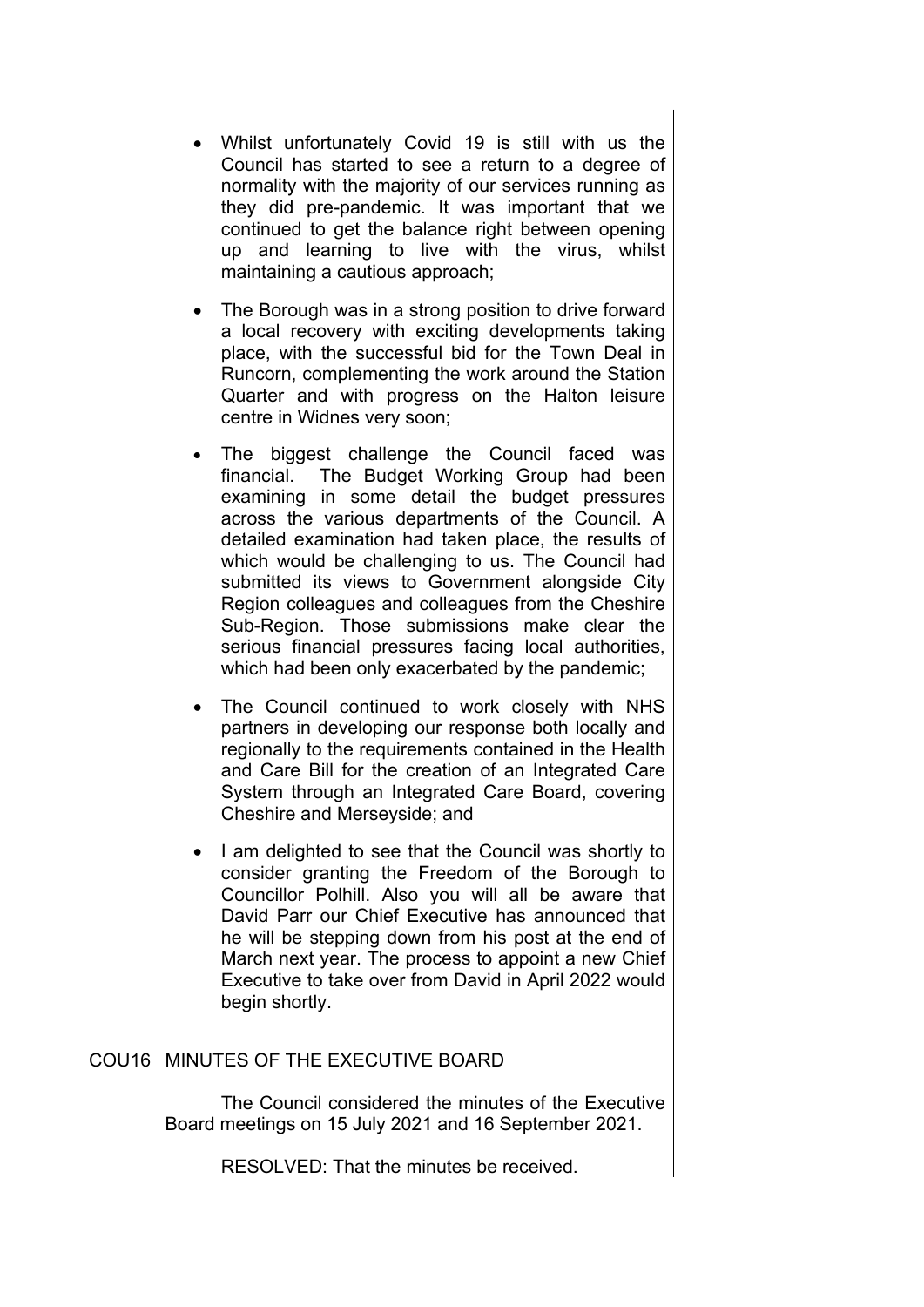- Whilst unfortunately Covid 19 is still with us the Council has started to see a return to a degree of normality with the majority of our services running as they did pre-pandemic. It was important that we continued to get the balance right between opening up and learning to live with the virus, whilst maintaining a cautious approach;
- The Borough was in a strong position to drive forward a local recovery with exciting developments taking place, with the successful bid for the Town Deal in Runcorn, complementing the work around the Station Quarter and with progress on the Halton leisure centre in Widnes very soon;
- The biggest challenge the Council faced was financial. The Budget Working Group had been examining in some detail the budget pressures across the various departments of the Council. A detailed examination had taken place, the results of which would be challenging to us. The Council had submitted its views to Government alongside City Region colleagues and colleagues from the Cheshire Sub-Region. Those submissions make clear the serious financial pressures facing local authorities, which had been only exacerbated by the pandemic;
- The Council continued to work closely with NHS partners in developing our response both locally and regionally to the requirements contained in the Health and Care Bill for the creation of an Integrated Care System through an Integrated Care Board, covering Cheshire and Merseyside; and
- I am delighted to see that the Council was shortly to consider granting the Freedom of the Borough to Councillor Polhill. Also you will all be aware that David Parr our Chief Executive has announced that he will be stepping down from his post at the end of March next year. The process to appoint a new Chief Executive to take over from David in April 2022 would begin shortly.

## COU16 MINUTES OF THE EXECUTIVE BOARD

The Council considered the minutes of the Executive Board meetings on 15 July 2021 and 16 September 2021.

RESOLVED: That the minutes be received.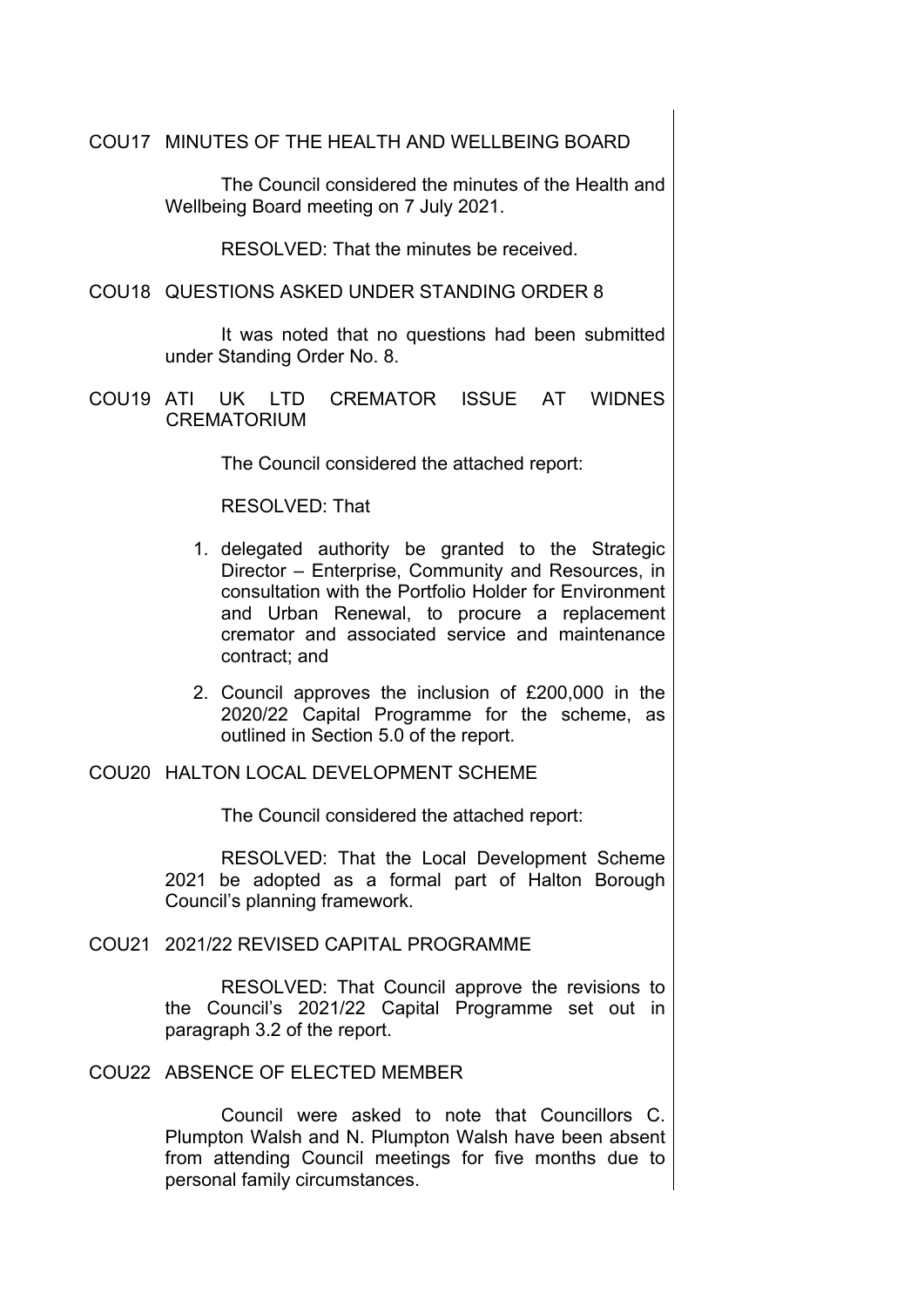COU17 MINUTES OF THE HEALTH AND WELLBEING BOARD

The Council considered the minutes of the Health and Wellbeing Board meeting on 7 July 2021.

RESOLVED: That the minutes be received.

COU18 QUESTIONS ASKED UNDER STANDING ORDER 8

It was noted that no questions had been submitted under Standing Order No. 8.

COU19 ATI UK LTD CREMATOR ISSUE AT WIDNES CREMATORIUM

The Council considered the attached report:

RESOLVED: That

- 1. delegated authority be granted to the Strategic Director – Enterprise, Community and Resources, in consultation with the Portfolio Holder for Environment and Urban Renewal, to procure a replacement cremator and associated service and maintenance contract; and
- 2. Council approves the inclusion of £200,000 in the 2020/22 Capital Programme for the scheme, as outlined in Section 5.0 of the report.

COU20 HALTON LOCAL DEVELOPMENT SCHEME

The Council considered the attached report:

RESOLVED: That the Local Development Scheme 2021 be adopted as a formal part of Halton Borough Council's planning framework.

COU21 2021/22 REVISED CAPITAL PROGRAMME

RESOLVED: That Council approve the revisions to the Council's 2021/22 Capital Programme set out in paragraph 3.2 of the report.

COU22 ABSENCE OF ELECTED MEMBER

Council were asked to note that Councillors C. Plumpton Walsh and N. Plumpton Walsh have been absent from attending Council meetings for five months due to personal family circumstances.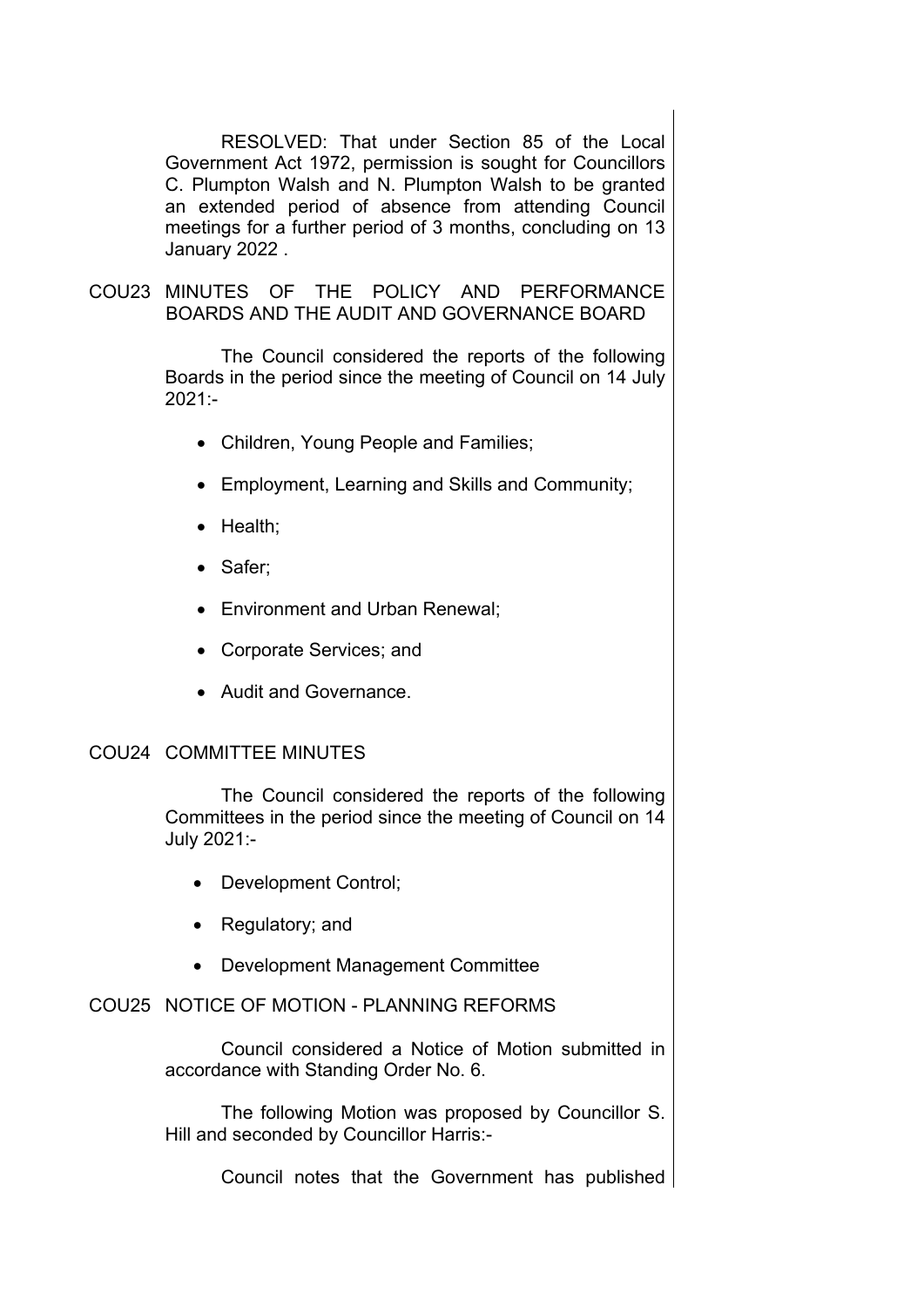RESOLVED: That under Section 85 of the Local Government Act 1972, permission is sought for Councillors C. Plumpton Walsh and N. Plumpton Walsh to be granted an extended period of absence from attending Council meetings for a further period of 3 months, concluding on 13 January 2022 .

COU23 MINUTES OF THE POLICY AND PERFORMANCE BOARDS AND THE AUDIT AND GOVERNANCE BOARD

> The Council considered the reports of the following Boards in the period since the meeting of Council on 14 July 2021:-

- Children, Young People and Families;
- Employment, Learning and Skills and Community;
- Health:
- Safer;
- Environment and Urban Renewal;
- Corporate Services; and
- Audit and Governance.

## COU24 COMMITTEE MINUTES

The Council considered the reports of the following Committees in the period since the meeting of Council on 14 July 2021:-

- Development Control;
- Regulatory; and
- Development Management Committee

# COU25 NOTICE OF MOTION - PLANNING REFORMS

Council considered a Notice of Motion submitted in accordance with Standing Order No. 6.

The following Motion was proposed by Councillor S. Hill and seconded by Councillor Harris:-

Council notes that the Government has published